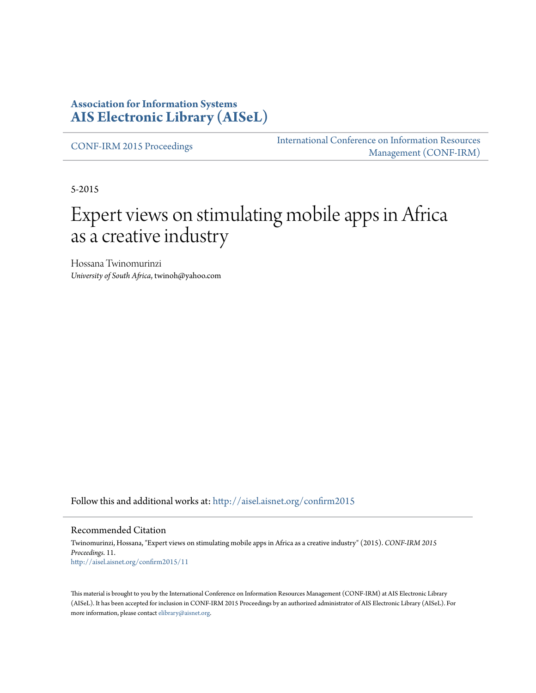#### **Association for Information Systems [AIS Electronic Library \(AISeL\)](http://aisel.aisnet.org?utm_source=aisel.aisnet.org%2Fconfirm2015%2F11&utm_medium=PDF&utm_campaign=PDFCoverPages)**

[CONF-IRM 2015 Proceedings](http://aisel.aisnet.org/confirm2015?utm_source=aisel.aisnet.org%2Fconfirm2015%2F11&utm_medium=PDF&utm_campaign=PDFCoverPages)

[International Conference on Information Resources](http://aisel.aisnet.org/conf-irm?utm_source=aisel.aisnet.org%2Fconfirm2015%2F11&utm_medium=PDF&utm_campaign=PDFCoverPages) [Management \(CONF-IRM\)](http://aisel.aisnet.org/conf-irm?utm_source=aisel.aisnet.org%2Fconfirm2015%2F11&utm_medium=PDF&utm_campaign=PDFCoverPages)

5-2015

# Expert views on stimulating mobile apps in Africa as a creative industry

Hossana Twinomurinzi *University of South Africa*, twinoh@yahoo.com

Follow this and additional works at: [http://aisel.aisnet.org/confirm2015](http://aisel.aisnet.org/confirm2015?utm_source=aisel.aisnet.org%2Fconfirm2015%2F11&utm_medium=PDF&utm_campaign=PDFCoverPages)

#### Recommended Citation

Twinomurinzi, Hossana, "Expert views on stimulating mobile apps in Africa as a creative industry" (2015). *CONF-IRM 2015 Proceedings*. 11. [http://aisel.aisnet.org/confirm2015/11](http://aisel.aisnet.org/confirm2015/11?utm_source=aisel.aisnet.org%2Fconfirm2015%2F11&utm_medium=PDF&utm_campaign=PDFCoverPages)

This material is brought to you by the International Conference on Information Resources Management (CONF-IRM) at AIS Electronic Library (AISeL). It has been accepted for inclusion in CONF-IRM 2015 Proceedings by an authorized administrator of AIS Electronic Library (AISeL). For more information, please contact [elibrary@aisnet.org.](mailto:elibrary@aisnet.org%3E)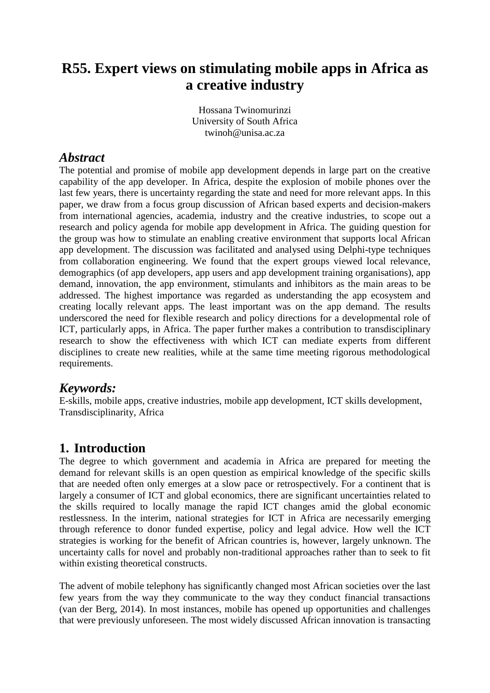## **R55. Expert views on stimulating mobile apps in Africa as a creative industry**

Hossana Twinomurinzi University of South Africa twinoh@unisa.ac.za

#### *Abstract*

The potential and promise of mobile app development depends in large part on the creative capability of the app developer. In Africa, despite the explosion of mobile phones over the last few years, there is uncertainty regarding the state and need for more relevant apps. In this paper, we draw from a focus group discussion of African based experts and decision-makers from international agencies, academia, industry and the creative industries, to scope out a research and policy agenda for mobile app development in Africa. The guiding question for the group was how to stimulate an enabling creative environment that supports local African app development. The discussion was facilitated and analysed using Delphi-type techniques from collaboration engineering. We found that the expert groups viewed local relevance, demographics (of app developers, app users and app development training organisations), app demand, innovation, the app environment, stimulants and inhibitors as the main areas to be addressed. The highest importance was regarded as understanding the app ecosystem and creating locally relevant apps. The least important was on the app demand. The results underscored the need for flexible research and policy directions for a developmental role of ICT, particularly apps, in Africa. The paper further makes a contribution to transdisciplinary research to show the effectiveness with which ICT can mediate experts from different disciplines to create new realities, while at the same time meeting rigorous methodological requirements.

### *Keywords:*

E-skills, mobile apps, creative industries, mobile app development, ICT skills development, Transdisciplinarity, Africa

## **1. Introduction**

The degree to which government and academia in Africa are prepared for meeting the demand for relevant skills is an open question as empirical knowledge of the specific skills that are needed often only emerges at a slow pace or retrospectively. For a continent that is largely a consumer of ICT and global economics, there are significant uncertainties related to the skills required to locally manage the rapid ICT changes amid the global economic restlessness. In the interim, national strategies for ICT in Africa are necessarily emerging through reference to donor funded expertise, policy and legal advice. How well the ICT strategies is working for the benefit of African countries is, however, largely unknown. The uncertainty calls for novel and probably non-traditional approaches rather than to seek to fit within existing theoretical constructs.

The advent of mobile telephony has significantly changed most African societies over the last few years from the way they communicate to the way they conduct financial transactions (van der Berg, 2014). In most instances, mobile has opened up opportunities and challenges that were previously unforeseen. The most widely discussed African innovation is transacting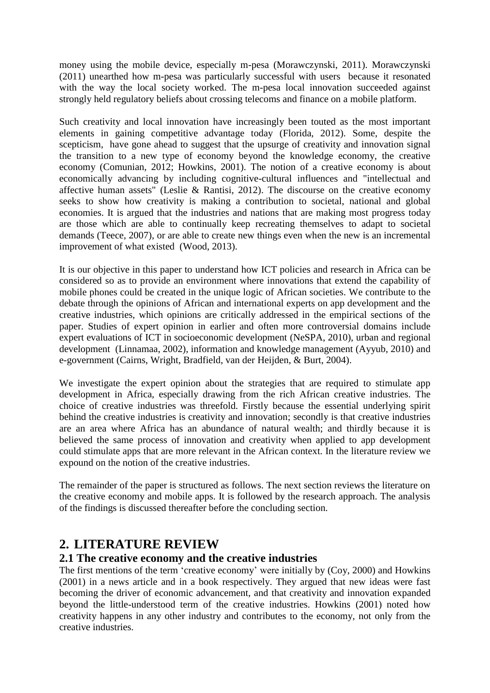money using the mobile device, especially m-pesa (Morawczynski, 2011). Morawczynski (2011) unearthed how m-pesa was particularly successful with users because it resonated with the way the local society worked. The m-pesa local innovation succeeded against strongly held regulatory beliefs about crossing telecoms and finance on a mobile platform.

Such creativity and local innovation have increasingly been touted as the most important elements in gaining competitive advantage today (Florida, 2012). Some, despite the scepticism, have gone ahead to suggest that the upsurge of creativity and innovation signal the transition to a new type of economy beyond the knowledge economy, the creative economy (Comunian, 2012; Howkins, 2001). The notion of a creative economy is about economically advancing by including cognitive-cultural influences and "intellectual and affective human assets" (Leslie & Rantisi, 2012). The discourse on the creative economy seeks to show how creativity is making a contribution to societal, national and global economies. It is argued that the industries and nations that are making most progress today are those which are able to continually keep recreating themselves to adapt to societal demands (Teece, 2007), or are able to create new things even when the new is an incremental improvement of what existed (Wood, 2013).

It is our objective in this paper to understand how ICT policies and research in Africa can be considered so as to provide an environment where innovations that extend the capability of mobile phones could be created in the unique logic of African societies. We contribute to the debate through the opinions of African and international experts on app development and the creative industries, which opinions are critically addressed in the empirical sections of the paper. Studies of expert opinion in earlier and often more controversial domains include expert evaluations of ICT in socioeconomic development (NeSPA, 2010), urban and regional development (Linnamaa, 2002), information and knowledge management (Ayyub, 2010) and e-government (Cairns, Wright, Bradfield, van der Heijden, & Burt, 2004).

We investigate the expert opinion about the strategies that are required to stimulate app development in Africa, especially drawing from the rich African creative industries. The choice of creative industries was threefold. Firstly because the essential underlying spirit behind the creative industries is creativity and innovation; secondly is that creative industries are an area where Africa has an abundance of natural wealth; and thirdly because it is believed the same process of innovation and creativity when applied to app development could stimulate apps that are more relevant in the African context. In the literature review we expound on the notion of the creative industries.

The remainder of the paper is structured as follows. The next section reviews the literature on the creative economy and mobile apps. It is followed by the research approach. The analysis of the findings is discussed thereafter before the concluding section.

## **2. LITERATURE REVIEW**

#### **2.1 The creative economy and the creative industries**

The first mentions of the term 'creative economy' were initially by (Coy, 2000) and Howkins (2001) in a news article and in a book respectively. They argued that new ideas were fast becoming the driver of economic advancement, and that creativity and innovation expanded beyond the little-understood term of the creative industries. Howkins (2001) noted how creativity happens in any other industry and contributes to the economy, not only from the creative industries.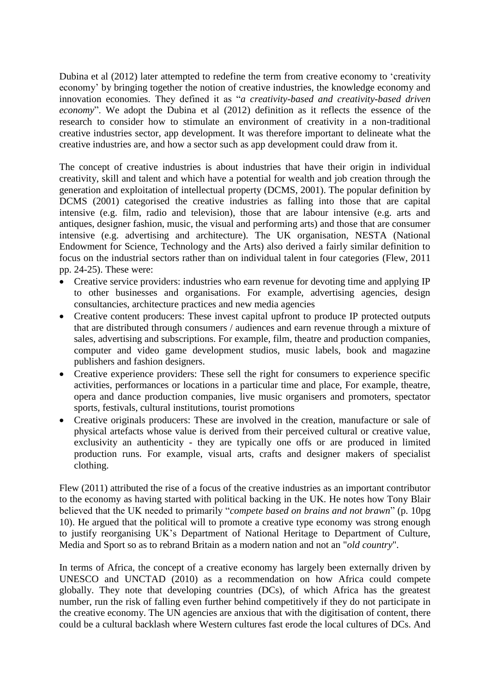Dubina et al (2012) later attempted to redefine the term from creative economy to 'creativity economy' by bringing together the notion of creative industries, the knowledge economy and innovation economies. They defined it as "*a creativity-based and creativity-based driven economy*". We adopt the Dubina et al (2012) definition as it reflects the essence of the research to consider how to stimulate an environment of creativity in a non-traditional creative industries sector, app development. It was therefore important to delineate what the creative industries are, and how a sector such as app development could draw from it.

The concept of creative industries is about industries that have their origin in individual creativity, skill and talent and which have a potential for wealth and job creation through the generation and exploitation of intellectual property (DCMS, 2001). The popular definition by DCMS (2001) categorised the creative industries as falling into those that are capital intensive (e.g. film, radio and television), those that are labour intensive (e.g. arts and antiques, designer fashion, music, the visual and performing arts) and those that are consumer intensive (e.g. advertising and architecture). The UK organisation, NESTA (National Endowment for Science, Technology and the Arts) also derived a fairly similar definition to focus on the industrial sectors rather than on individual talent in four categories (Flew, 2011 pp. 24-25). These were:

- Creative service providers: industries who earn revenue for devoting time and applying IP to other businesses and organisations. For example, advertising agencies, design consultancies, architecture practices and new media agencies
- Creative content producers: These invest capital upfront to produce IP protected outputs that are distributed through consumers / audiences and earn revenue through a mixture of sales, advertising and subscriptions. For example, film, theatre and production companies, computer and video game development studios, music labels, book and magazine publishers and fashion designers.
- Creative experience providers: These sell the right for consumers to experience specific activities, performances or locations in a particular time and place, For example, theatre, opera and dance production companies, live music organisers and promoters, spectator sports, festivals, cultural institutions, tourist promotions
- Creative originals producers: These are involved in the creation, manufacture or sale of physical artefacts whose value is derived from their perceived cultural or creative value, exclusivity an authenticity - they are typically one offs or are produced in limited production runs. For example, visual arts, crafts and designer makers of specialist clothing.

Flew (2011) attributed the rise of a focus of the creative industries as an important contributor to the economy as having started with political backing in the UK. He notes how Tony Blair believed that the UK needed to primarily "*compete based on brains and not brawn*" (p. 10pg 10). He argued that the political will to promote a creative type economy was strong enough to justify reorganising UK's Department of National Heritage to Department of Culture, Media and Sport so as to rebrand Britain as a modern nation and not an "*old country*".

In terms of Africa, the concept of a creative economy has largely been externally driven by UNESCO and UNCTAD (2010) as a recommendation on how Africa could compete globally. They note that developing countries (DCs), of which Africa has the greatest number, run the risk of falling even further behind competitively if they do not participate in the creative economy. The UN agencies are anxious that with the digitisation of content, there could be a cultural backlash where Western cultures fast erode the local cultures of DCs. And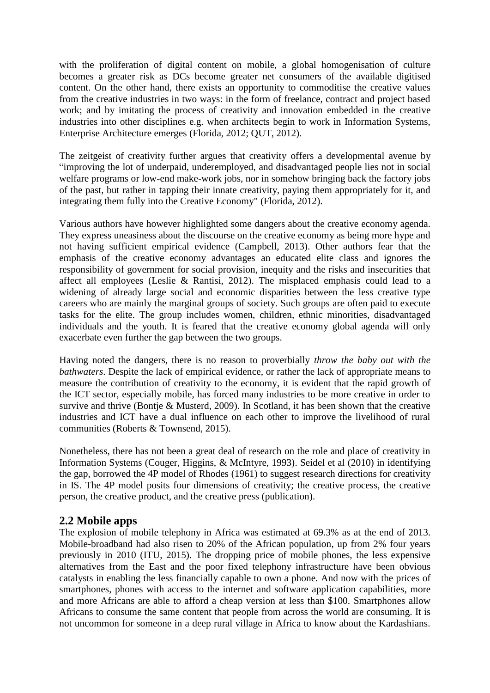with the proliferation of digital content on mobile, a global homogenisation of culture becomes a greater risk as DCs become greater net consumers of the available digitised content. On the other hand, there exists an opportunity to commoditise the creative values from the creative industries in two ways: in the form of freelance, contract and project based work; and by imitating the process of creativity and innovation embedded in the creative industries into other disciplines e.g. when architects begin to work in Information Systems, Enterprise Architecture emerges (Florida, 2012; QUT, 2012).

The zeitgeist of creativity further argues that creativity offers a developmental avenue by "improving the lot of underpaid, underemployed, and disadvantaged people lies not in social welfare programs or low-end make-work jobs, nor in somehow bringing back the factory jobs of the past, but rather in tapping their innate creativity, paying them appropriately for it, and integrating them fully into the Creative Economy" (Florida, 2012).

Various authors have however highlighted some dangers about the creative economy agenda. They express uneasiness about the discourse on the creative economy as being more hype and not having sufficient empirical evidence (Campbell, 2013). Other authors fear that the emphasis of the creative economy advantages an educated elite class and ignores the responsibility of government for social provision, inequity and the risks and insecurities that affect all employees (Leslie & Rantisi, 2012). The misplaced emphasis could lead to a widening of already large social and economic disparities between the less creative type careers who are mainly the marginal groups of society. Such groups are often paid to execute tasks for the elite. The group includes women, children, ethnic minorities, disadvantaged individuals and the youth. It is feared that the creative economy global agenda will only exacerbate even further the gap between the two groups.

Having noted the dangers, there is no reason to proverbially *throw the baby out with the bathwaters*. Despite the lack of empirical evidence, or rather the lack of appropriate means to measure the contribution of creativity to the economy, it is evident that the rapid growth of the ICT sector, especially mobile, has forced many industries to be more creative in order to survive and thrive (Bontje & Musterd, 2009). In Scotland, it has been shown that the creative industries and ICT have a dual influence on each other to improve the livelihood of rural communities (Roberts & Townsend, 2015).

Nonetheless, there has not been a great deal of research on the role and place of creativity in Information Systems (Couger, Higgins, & McIntyre, 1993). Seidel et al (2010) in identifying the gap, borrowed the 4P model of Rhodes (1961) to suggest research directions for creativity in IS. The 4P model posits four dimensions of creativity; the creative process, the creative person, the creative product, and the creative press (publication).

#### **2.2 Mobile apps**

The explosion of mobile telephony in Africa was estimated at 69.3% as at the end of 2013. Mobile-broadband had also risen to 20% of the African population, up from 2% four years previously in 2010 (ITU, 2015). The dropping price of mobile phones, the less expensive alternatives from the East and the poor fixed telephony infrastructure have been obvious catalysts in enabling the less financially capable to own a phone. And now with the prices of smartphones, phones with access to the internet and software application capabilities, more and more Africans are able to afford a cheap version at less than \$100. Smartphones allow Africans to consume the same content that people from across the world are consuming. It is not uncommon for someone in a deep rural village in Africa to know about the Kardashians.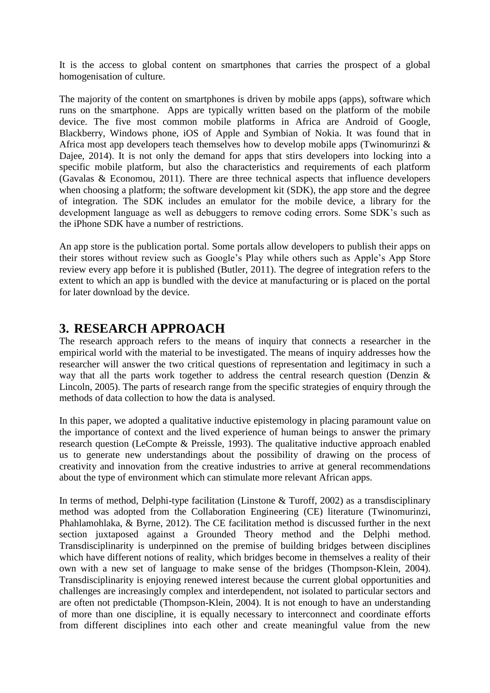It is the access to global content on smartphones that carries the prospect of a global homogenisation of culture.

The majority of the content on smartphones is driven by mobile apps (apps), software which runs on the smartphone. Apps are typically written based on the platform of the mobile device. The five most common mobile platforms in Africa are Android of Google, Blackberry, Windows phone, iOS of Apple and Symbian of Nokia. It was found that in Africa most app developers teach themselves how to develop mobile apps (Twinomurinzi  $\&$ Dajee, 2014). It is not only the demand for apps that stirs developers into locking into a specific mobile platform, but also the characteristics and requirements of each platform (Gavalas & Economou, 2011). There are three technical aspects that influence developers when choosing a platform; the software development kit (SDK), the app store and the degree of integration. The SDK includes an emulator for the mobile device, a library for the development language as well as debuggers to remove coding errors. Some SDK's such as the iPhone SDK have a number of restrictions.

An app store is the publication portal. Some portals allow developers to publish their apps on their stores without review such as Google's Play while others such as Apple's App Store review every app before it is published (Butler, 2011). The degree of integration refers to the extent to which an app is bundled with the device at manufacturing or is placed on the portal for later download by the device.

## **3. RESEARCH APPROACH**

The research approach refers to the means of inquiry that connects a researcher in the empirical world with the material to be investigated. The means of inquiry addresses how the researcher will answer the two critical questions of representation and legitimacy in such a way that all the parts work together to address the central research question (Denzin & Lincoln, 2005). The parts of research range from the specific strategies of enquiry through the methods of data collection to how the data is analysed.

In this paper, we adopted a qualitative inductive epistemology in placing paramount value on the importance of context and the lived experience of human beings to answer the primary research question (LeCompte & Preissle, 1993). The qualitative inductive approach enabled us to generate new understandings about the possibility of drawing on the process of creativity and innovation from the creative industries to arrive at general recommendations about the type of environment which can stimulate more relevant African apps.

In terms of method, Delphi-type facilitation (Linstone & Turoff, 2002) as a transdisciplinary method was adopted from the Collaboration Engineering (CE) literature (Twinomurinzi, Phahlamohlaka, & Byrne, 2012). The CE facilitation method is discussed further in the next section juxtaposed against a Grounded Theory method and the Delphi method. Transdisciplinarity is underpinned on the premise of building bridges between disciplines which have different notions of reality, which bridges become in themselves a reality of their own with a new set of language to make sense of the bridges (Thompson-Klein, 2004). Transdisciplinarity is enjoying renewed interest because the current global opportunities and challenges are increasingly complex and interdependent, not isolated to particular sectors and are often not predictable (Thompson-Klein, 2004). It is not enough to have an understanding of more than one discipline, it is equally necessary to interconnect and coordinate efforts from different disciplines into each other and create meaningful value from the new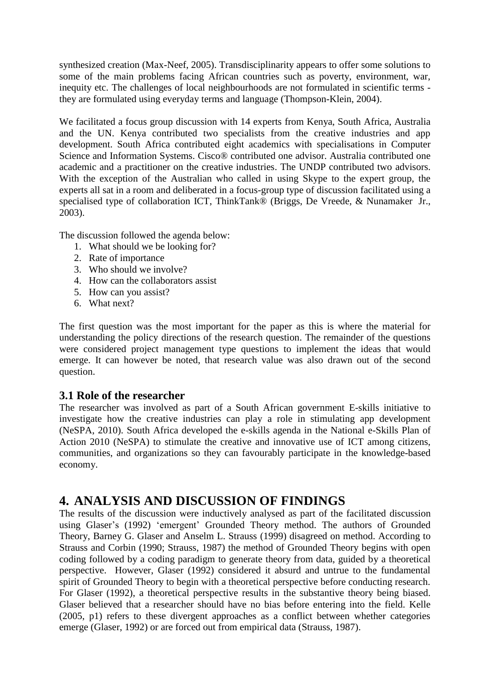synthesized creation (Max-Neef, 2005). Transdisciplinarity appears to offer some solutions to some of the main problems facing African countries such as poverty, environment, war, inequity etc. The challenges of local neighbourhoods are not formulated in scientific terms they are formulated using everyday terms and language (Thompson-Klein, 2004).

We facilitated a focus group discussion with 14 experts from Kenya, South Africa, Australia and the UN. Kenya contributed two specialists from the creative industries and app development. South Africa contributed eight academics with specialisations in Computer Science and Information Systems. Cisco® contributed one advisor. Australia contributed one academic and a practitioner on the creative industries. The UNDP contributed two advisors. With the exception of the Australian who called in using Skype to the expert group, the experts all sat in a room and deliberated in a focus-group type of discussion facilitated using a specialised type of collaboration ICT, ThinkTank® (Briggs, De Vreede, & Nunamaker Jr., 2003).

The discussion followed the agenda below:

- 1. What should we be looking for?
- 2. Rate of importance
- 3. Who should we involve?
- 4. How can the collaborators assist
- 5. How can you assist?
- 6. What next?

The first question was the most important for the paper as this is where the material for understanding the policy directions of the research question. The remainder of the questions were considered project management type questions to implement the ideas that would emerge. It can however be noted, that research value was also drawn out of the second question.

#### **3.1 Role of the researcher**

The researcher was involved as part of a South African government E-skills initiative to investigate how the creative industries can play a role in stimulating app development (NeSPA, 2010). South Africa developed the e-skills agenda in the National e-Skills Plan of Action 2010 (NeSPA) to stimulate the creative and innovative use of ICT among citizens, communities, and organizations so they can favourably participate in the knowledge-based economy.

### **4. ANALYSIS AND DISCUSSION OF FINDINGS**

The results of the discussion were inductively analysed as part of the facilitated discussion using Glaser's (1992) 'emergent' Grounded Theory method. The authors of Grounded Theory, Barney G. Glaser and Anselm L. Strauss (1999) disagreed on method. According to Strauss and Corbin (1990; Strauss, 1987) the method of Grounded Theory begins with open coding followed by a coding paradigm to generate theory from data, guided by a theoretical perspective. However, Glaser (1992) considered it absurd and untrue to the fundamental spirit of Grounded Theory to begin with a theoretical perspective before conducting research. For Glaser (1992), a theoretical perspective results in the substantive theory being biased. Glaser believed that a researcher should have no bias before entering into the field. Kelle (2005, p1) refers to these divergent approaches as a conflict between whether categories emerge (Glaser, 1992) or are forced out from empirical data (Strauss, 1987).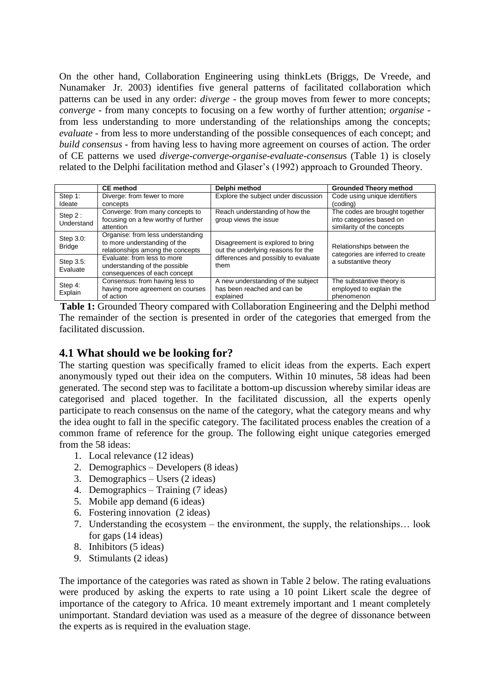On the other hand, Collaboration Engineering using thinkLets (Briggs, De Vreede, and Nunamaker Jr. 2003) identifies five general patterns of facilitated collaboration which patterns can be used in any order: *diverge* - the group moves from fewer to more concepts; *converge* - from many concepts to focusing on a few worthy of further attention; *organise* from less understanding to more understanding of the relationships among the concepts; *evaluate* - from less to more understanding of the possible consequences of each concept; and *build consensus* - from having less to having more agreement on courses of action. The order of CE patterns we used *diverge-converge-organise-evaluate-consensu*s (Table 1) is closely related to the Delphi facilitation method and Glaser's (1992) approach to Grounded Theory.

|                            | <b>CE</b> method                    | Delphi method                        | <b>Grounded Theory method</b>                                                          |  |  |
|----------------------------|-------------------------------------|--------------------------------------|----------------------------------------------------------------------------------------|--|--|
| Step 1:                    | Diverge: from fewer to more         | Explore the subject under discussion | Code using unique identifiers                                                          |  |  |
| Ideate                     | concepts                            |                                      | (coding)                                                                               |  |  |
| Step $2:$<br>Understand    | Converge: from many concepts to     | Reach understanding of how the       | The codes are brought together                                                         |  |  |
|                            | focusing on a few worthy of further | group views the issue                | into categories based on                                                               |  |  |
|                            | attention                           |                                      | similarity of the concepts                                                             |  |  |
| Step 3.0:<br><b>Bridge</b> | Organise: from less understanding   |                                      |                                                                                        |  |  |
|                            | to more understanding of the        | Disagreement is explored to bring    | Relationships between the<br>categories are inferred to create<br>a substantive theory |  |  |
|                            | relationships among the concepts    | out the underlying reasons for the   |                                                                                        |  |  |
| Step 3.5:<br>Evaluate      | Evaluate: from less to more         | differences and possibly to evaluate |                                                                                        |  |  |
|                            | understanding of the possible       | them                                 |                                                                                        |  |  |
|                            | consequences of each concept        |                                      |                                                                                        |  |  |
| Step 4:<br>Explain         | Consensus: from having less to      | A new understanding of the subject   | The substantive theory is                                                              |  |  |
|                            | having more agreement on courses    | has been reached and can be          | employed to explain the                                                                |  |  |
|                            | of action                           | explained                            | phenomenon                                                                             |  |  |

**Table 1:** Grounded Theory compared with Collaboration Engineering and the Delphi method The remainder of the section is presented in order of the categories that emerged from the facilitated discussion.

#### **4.1 What should we be looking for?**

The starting question was specifically framed to elicit ideas from the experts. Each expert anonymously typed out their idea on the computers. Within 10 minutes, 58 ideas had been generated. The second step was to facilitate a bottom-up discussion whereby similar ideas are categorised and placed together. In the facilitated discussion, all the experts openly participate to reach consensus on the name of the category, what the category means and why the idea ought to fall in the specific category. The facilitated process enables the creation of a common frame of reference for the group. The following eight unique categories emerged from the 58 ideas:

- 1. Local relevance (12 ideas)
- 2. Demographics Developers (8 ideas)
- 3. Demographics Users (2 ideas)
- 4. Demographics Training (7 ideas)
- 5. Mobile app demand (6 ideas)
- 6. Fostering innovation (2 ideas)
- 7. Understanding the ecosystem the environment, the supply, the relationships… look for gaps (14 ideas)
- 8. Inhibitors (5 ideas)
- 9. Stimulants (2 ideas)

The importance of the categories was rated as shown in Table 2 below. The rating evaluations were produced by asking the experts to rate using a 10 point Likert scale the degree of importance of the category to Africa. 10 meant extremely important and 1 meant completely unimportant. Standard deviation was used as a measure of the degree of dissonance between the experts as is required in the evaluation stage.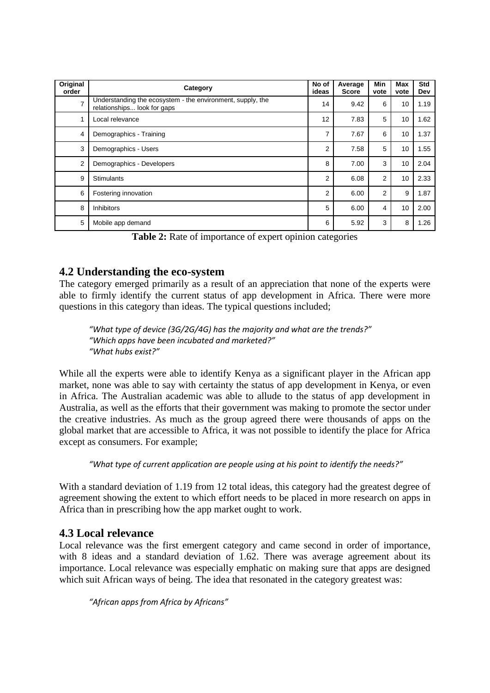| Original<br>order | Category                                                                                  | No of<br>ideas | Average<br><b>Score</b> | Min<br>vote    | Max<br>vote | Std<br>Dev |
|-------------------|-------------------------------------------------------------------------------------------|----------------|-------------------------|----------------|-------------|------------|
| $\overline{7}$    | Understanding the ecosystem - the environment, supply, the<br>relationships look for gaps | 14             | 9.42                    | 6              | 10          | 1.19       |
|                   | Local relevance                                                                           | 12             | 7.83                    | 5              | 10          | 1.62       |
| 4                 | Demographics - Training                                                                   | 7              | 7.67                    | 6              | 10          | 1.37       |
| 3                 | Demographics - Users                                                                      | 2              | 7.58                    | 5              | 10          | 1.55       |
| $\overline{2}$    | Demographics - Developers                                                                 | 8              | 7.00                    | 3              | 10          | 2.04       |
| 9                 | <b>Stimulants</b>                                                                         | 2              | 6.08                    | $\overline{2}$ | 10          | 2.33       |
| 6                 | Fostering innovation                                                                      | 2              | 6.00                    | $\overline{2}$ | 9           | 1.87       |
| 8                 | <b>Inhibitors</b>                                                                         | 5              | 6.00                    | 4              | 10          | 2.00       |
| 5                 | Mobile app demand                                                                         | 6              | 5.92                    | 3              | 8           | 1.26       |

**Table 2:** Rate of importance of expert opinion categories

#### **4.2 Understanding the eco-system**

The category emerged primarily as a result of an appreciation that none of the experts were able to firmly identify the current status of app development in Africa. There were more questions in this category than ideas. The typical questions included;

*"What type of device (3G/2G/4G) has the majority and what are the trends?" "Which apps have been incubated and marketed?" "What hubs exist?"*

While all the experts were able to identify Kenya as a significant player in the African app market, none was able to say with certainty the status of app development in Kenya, or even in Africa. The Australian academic was able to allude to the status of app development in Australia, as well as the efforts that their government was making to promote the sector under the creative industries. As much as the group agreed there were thousands of apps on the global market that are accessible to Africa, it was not possible to identify the place for Africa except as consumers. For example;

*"What type of current application are people using at his point to identify the needs?"*

With a standard deviation of 1.19 from 12 total ideas, this category had the greatest degree of agreement showing the extent to which effort needs to be placed in more research on apps in Africa than in prescribing how the app market ought to work.

#### **4.3 Local relevance**

Local relevance was the first emergent category and came second in order of importance, with 8 ideas and a standard deviation of 1.62. There was average agreement about its importance. Local relevance was especially emphatic on making sure that apps are designed which suit African ways of being. The idea that resonated in the category greatest was:

*"African apps from Africa by Africans"*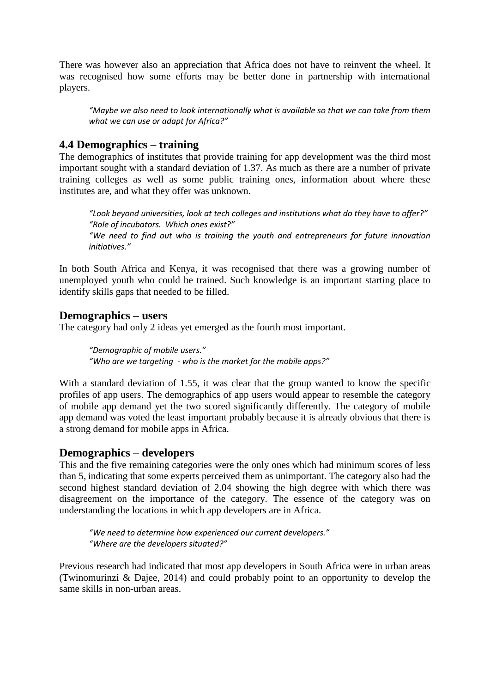There was however also an appreciation that Africa does not have to reinvent the wheel. It was recognised how some efforts may be better done in partnership with international players.

*"Maybe we also need to look internationally what is available so that we can take from them what we can use or adapt for Africa?"*

#### **4.4 Demographics – training**

The demographics of institutes that provide training for app development was the third most important sought with a standard deviation of 1.37. As much as there are a number of private training colleges as well as some public training ones, information about where these institutes are, and what they offer was unknown.

*"Look beyond universities, look at tech colleges and institutions what do they have to offer?" "Role of incubators. Which ones exist?" "We need to find out who is training the youth and entrepreneurs for future innovation initiatives."*

In both South Africa and Kenya, it was recognised that there was a growing number of unemployed youth who could be trained. Such knowledge is an important starting place to identify skills gaps that needed to be filled.

#### **Demographics – users**

The category had only 2 ideas yet emerged as the fourth most important.

*"Demographic of mobile users." "Who are we targeting - who is the market for the mobile apps?"*

With a standard deviation of 1.55, it was clear that the group wanted to know the specific profiles of app users. The demographics of app users would appear to resemble the category of mobile app demand yet the two scored significantly differently. The category of mobile app demand was voted the least important probably because it is already obvious that there is a strong demand for mobile apps in Africa.

#### **Demographics – developers**

This and the five remaining categories were the only ones which had minimum scores of less than 5, indicating that some experts perceived them as unimportant. The category also had the second highest standard deviation of 2.04 showing the high degree with which there was disagreement on the importance of the category. The essence of the category was on understanding the locations in which app developers are in Africa.

*"We need to determine how experienced our current developers." "Where are the developers situated?"*

Previous research had indicated that most app developers in South Africa were in urban areas (Twinomurinzi & Dajee, 2014) and could probably point to an opportunity to develop the same skills in non-urban areas.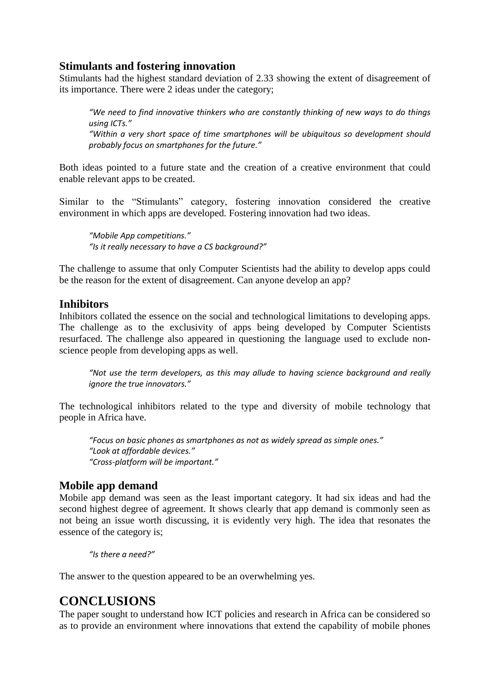#### **Stimulants and fostering innovation**

Stimulants had the highest standard deviation of 2.33 showing the extent of disagreement of its importance. There were 2 ideas under the category;

*"We need to find innovative thinkers who are constantly thinking of new ways to do things using ICTs." "Within a very short space of time smartphones will be ubiquitous so development should probably focus on smartphones for the future."*

Both ideas pointed to a future state and the creation of a creative environment that could enable relevant apps to be created.

Similar to the "Stimulants" category, fostering innovation considered the creative environment in which apps are developed. Fostering innovation had two ideas.

*"Mobile App competitions." "Is it really necessary to have a CS background?"*

The challenge to assume that only Computer Scientists had the ability to develop apps could be the reason for the extent of disagreement. Can anyone develop an app?

#### **Inhibitors**

Inhibitors collated the essence on the social and technological limitations to developing apps. The challenge as to the exclusivity of apps being developed by Computer Scientists resurfaced. The challenge also appeared in questioning the language used to exclude nonscience people from developing apps as well.

*"Not use the term developers, as this may allude to having science background and really ignore the true innovators."*

The technological inhibitors related to the type and diversity of mobile technology that people in Africa have.

*"Focus on basic phones as smartphones as not as widely spread as simple ones." "Look at affordable devices." "Cross-platform will be important."*

#### **Mobile app demand**

Mobile app demand was seen as the least important category. It had six ideas and had the second highest degree of agreement. It shows clearly that app demand is commonly seen as not being an issue worth discussing, it is evidently very high. The idea that resonates the essence of the category is;

*"Is there a need?"*

The answer to the question appeared to be an overwhelming yes.

## **CONCLUSIONS**

The paper sought to understand how ICT policies and research in Africa can be considered so as to provide an environment where innovations that extend the capability of mobile phones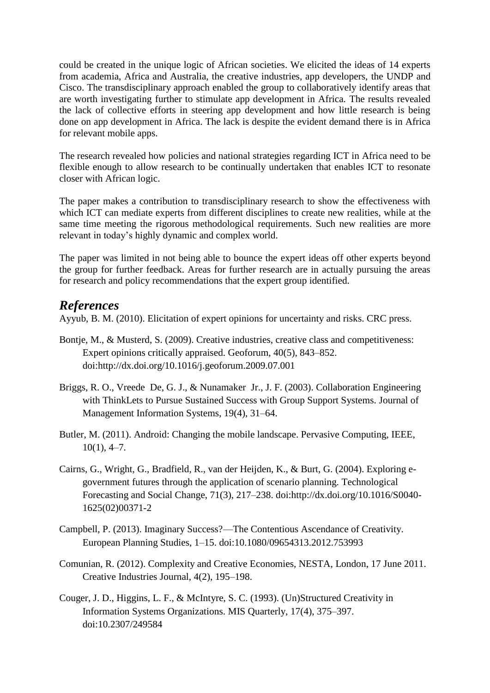could be created in the unique logic of African societies. We elicited the ideas of 14 experts from academia, Africa and Australia, the creative industries, app developers, the UNDP and Cisco. The transdisciplinary approach enabled the group to collaboratively identify areas that are worth investigating further to stimulate app development in Africa. The results revealed the lack of collective efforts in steering app development and how little research is being done on app development in Africa. The lack is despite the evident demand there is in Africa for relevant mobile apps.

The research revealed how policies and national strategies regarding ICT in Africa need to be flexible enough to allow research to be continually undertaken that enables ICT to resonate closer with African logic.

The paper makes a contribution to transdisciplinary research to show the effectiveness with which ICT can mediate experts from different disciplines to create new realities, while at the same time meeting the rigorous methodological requirements. Such new realities are more relevant in today's highly dynamic and complex world.

The paper was limited in not being able to bounce the expert ideas off other experts beyond the group for further feedback. Areas for further research are in actually pursuing the areas for research and policy recommendations that the expert group identified.

#### *References*

Ayyub, B. M. (2010). Elicitation of expert opinions for uncertainty and risks. CRC press.

- Bontje, M., & Musterd, S. (2009). Creative industries, creative class and competitiveness: Expert opinions critically appraised. Geoforum, 40(5), 843–852. doi:http://dx.doi.org/10.1016/j.geoforum.2009.07.001
- Briggs, R. O., Vreede De, G. J., & Nunamaker Jr., J. F. (2003). Collaboration Engineering with ThinkLets to Pursue Sustained Success with Group Support Systems. Journal of Management Information Systems, 19(4), 31–64.
- Butler, M. (2011). Android: Changing the mobile landscape. Pervasive Computing, IEEE,  $10(1)$ , 4-7.
- Cairns, G., Wright, G., Bradfield, R., van der Heijden, K., & Burt, G. (2004). Exploring egovernment futures through the application of scenario planning. Technological Forecasting and Social Change, 71(3), 217–238. doi:http://dx.doi.org/10.1016/S0040- 1625(02)00371-2
- Campbell, P. (2013). Imaginary Success?—The Contentious Ascendance of Creativity. European Planning Studies, 1–15. doi:10.1080/09654313.2012.753993
- Comunian, R. (2012). Complexity and Creative Economies, NESTA, London, 17 June 2011. Creative Industries Journal, 4(2), 195–198.
- Couger, J. D., Higgins, L. F., & McIntyre, S. C. (1993). (Un)Structured Creativity in Information Systems Organizations. MIS Quarterly, 17(4), 375–397. doi:10.2307/249584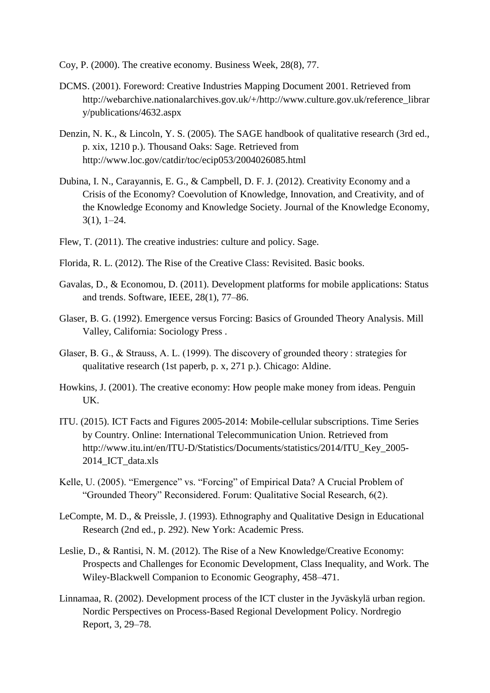- Coy, P. (2000). The creative economy. Business Week, 28(8), 77.
- DCMS. (2001). Foreword: Creative Industries Mapping Document 2001. Retrieved from http://webarchive.nationalarchives.gov.uk/+/http://www.culture.gov.uk/reference\_librar y/publications/4632.aspx
- Denzin, N. K., & Lincoln, Y. S. (2005). The SAGE handbook of qualitative research (3rd ed., p. xix, 1210 p.). Thousand Oaks: Sage. Retrieved from http://www.loc.gov/catdir/toc/ecip053/2004026085.html
- Dubina, I. N., Carayannis, E. G., & Campbell, D. F. J. (2012). Creativity Economy and a Crisis of the Economy? Coevolution of Knowledge, Innovation, and Creativity, and of the Knowledge Economy and Knowledge Society. Journal of the Knowledge Economy, 3(1), 1–24.
- Flew, T. (2011). The creative industries: culture and policy. Sage.
- Florida, R. L. (2012). The Rise of the Creative Class: Revisited. Basic books.
- Gavalas, D., & Economou, D. (2011). Development platforms for mobile applications: Status and trends. Software, IEEE, 28(1), 77–86.
- Glaser, B. G. (1992). Emergence versus Forcing: Basics of Grounded Theory Analysis. Mill Valley, California: Sociology Press .
- Glaser, B. G., & Strauss, A. L. (1999). The discovery of grounded theory : strategies for qualitative research (1st paperb, p. x, 271 p.). Chicago: Aldine.
- Howkins, J. (2001). The creative economy: How people make money from ideas. Penguin UK.
- ITU. (2015). ICT Facts and Figures 2005-2014: Mobile-cellular subscriptions. Time Series by Country. Online: International Telecommunication Union. Retrieved from http://www.itu.int/en/ITU-D/Statistics/Documents/statistics/2014/ITU\_Key\_2005- 2014\_ICT\_data.xls
- Kelle, U. (2005). "Emergence" vs. "Forcing" of Empirical Data? A Crucial Problem of "Grounded Theory" Reconsidered. Forum: Qualitative Social Research, 6(2).
- LeCompte, M. D., & Preissle, J. (1993). Ethnography and Qualitative Design in Educational Research (2nd ed., p. 292). New York: Academic Press.
- Leslie, D., & Rantisi, N. M. (2012). The Rise of a New Knowledge/Creative Economy: Prospects and Challenges for Economic Development, Class Inequality, and Work. The Wiley-Blackwell Companion to Economic Geography, 458–471.
- Linnamaa, R. (2002). Development process of the ICT cluster in the Jyväskylä urban region. Nordic Perspectives on Process-Based Regional Development Policy. Nordregio Report, 3, 29–78.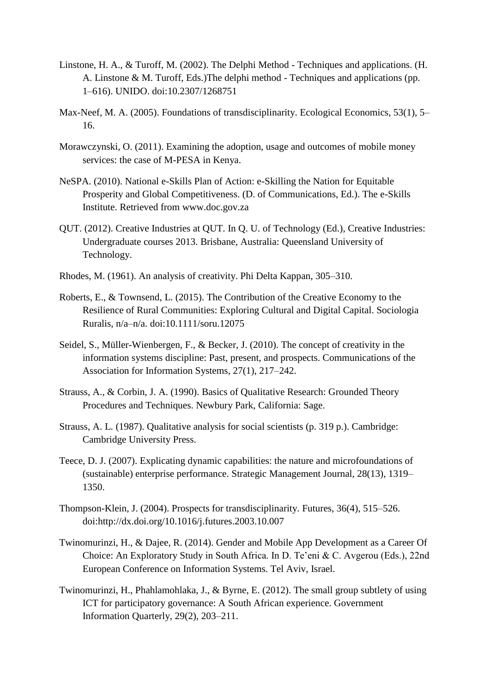- Linstone, H. A., & Turoff, M. (2002). The Delphi Method Techniques and applications. (H. A. Linstone & M. Turoff, Eds.)The delphi method - Techniques and applications (pp. 1–616). UNIDO. doi:10.2307/1268751
- Max-Neef, M. A. (2005). Foundations of transdisciplinarity. Ecological Economics, 53(1), 5– 16.
- Morawczynski, O. (2011). Examining the adoption, usage and outcomes of mobile money services: the case of M-PESA in Kenya.
- NeSPA. (2010). National e-Skills Plan of Action: e-Skilling the Nation for Equitable Prosperity and Global Competitiveness. (D. of Communications, Ed.). The e-Skills Institute. Retrieved from www.doc.gov.za
- QUT. (2012). Creative Industries at QUT. In Q. U. of Technology (Ed.), Creative Industries: Undergraduate courses 2013. Brisbane, Australia: Queensland University of Technology.
- Rhodes, M. (1961). An analysis of creativity. Phi Delta Kappan, 305–310.
- Roberts, E., & Townsend, L. (2015). The Contribution of the Creative Economy to the Resilience of Rural Communities: Exploring Cultural and Digital Capital. Sociologia Ruralis, n/a–n/a. doi:10.1111/soru.12075
- Seidel, S., Müller-Wienbergen, F., & Becker, J. (2010). The concept of creativity in the information systems discipline: Past, present, and prospects. Communications of the Association for Information Systems, 27(1), 217–242.
- Strauss, A., & Corbin, J. A. (1990). Basics of Qualitative Research: Grounded Theory Procedures and Techniques. Newbury Park, California: Sage.
- Strauss, A. L. (1987). Qualitative analysis for social scientists (p. 319 p.). Cambridge: Cambridge University Press.
- Teece, D. J. (2007). Explicating dynamic capabilities: the nature and microfoundations of (sustainable) enterprise performance. Strategic Management Journal, 28(13), 1319– 1350.
- Thompson-Klein, J. (2004). Prospects for transdisciplinarity. Futures, 36(4), 515–526. doi:http://dx.doi.org/10.1016/j.futures.2003.10.007
- Twinomurinzi, H., & Dajee, R. (2014). Gender and Mobile App Development as a Career Of Choice: An Exploratory Study in South Africa. In D. Te'eni & C. Avgerou (Eds.), 22nd European Conference on Information Systems. Tel Aviv, Israel.
- Twinomurinzi, H., Phahlamohlaka, J., & Byrne, E. (2012). The small group subtlety of using ICT for participatory governance: A South African experience. Government Information Quarterly, 29(2), 203–211.